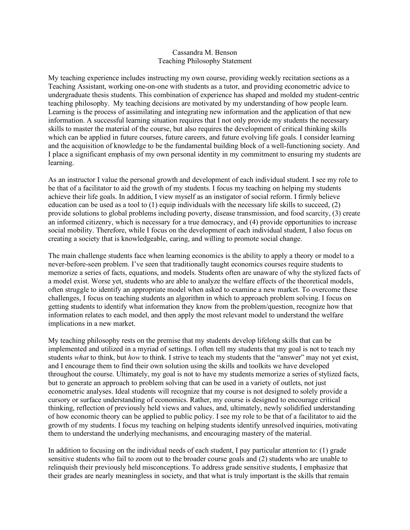## Cassandra M. Benson Teaching Philosophy Statement

My teaching experience includes instructing my own course, providing weekly recitation sections as a Teaching Assistant, working one-on-one with students as a tutor, and providing econometric advice to undergraduate thesis students. This combination of experience has shaped and molded my student-centric teaching philosophy. My teaching decisions are motivated by my understanding of how people learn. Learning is the process of assimilating and integrating new information and the application of that new information. A successful learning situation requires that I not only provide my students the necessary skills to master the material of the course, but also requires the development of critical thinking skills which can be applied in future courses, future careers, and future evolving life goals. I consider learning and the acquisition of knowledge to be the fundamental building block of a well-functioning society. And I place a significant emphasis of my own personal identity in my commitment to ensuring my students are learning.

As an instructor I value the personal growth and development of each individual student. I see my role to be that of a facilitator to aid the growth of my students. I focus my teaching on helping my students achieve their life goals. In addition, I view myself as an instigator of social reform. I firmly believe education can be used as a tool to  $(1)$  equip individuals with the necessary life skills to succeed,  $(2)$ provide solutions to global problems including poverty, disease transmission, and food scarcity, (3) create an informed citizenry, which is necessary for a true democracy, and (4) provide opportunities to increase social mobility. Therefore, while I focus on the development of each individual student, I also focus on creating a society that is knowledgeable, caring, and willing to promote social change.

The main challenge students face when learning economics is the ability to apply a theory or model to a never-before-seen problem. I've seen that traditionally taught economics courses require students to memorize a series of facts, equations, and models. Students often are unaware of why the stylized facts of a model exist. Worse yet, students who are able to analyze the welfare effects of the theoretical models, often struggle to identify an appropriate model when asked to examine a new market. To overcome these challenges, I focus on teaching students an algorithm in which to approach problem solving. I focus on getting students to identify what information they know from the problem/question, recognize how that information relates to each model, and then apply the most relevant model to understand the welfare implications in a new market.

My teaching philosophy rests on the premise that my students develop lifelong skills that can be implemented and utilized in a myriad of settings. I often tell my students that my goal is not to teach my students *what* to think, but *how* to think. I strive to teach my students that the "answer" may not yet exist, and I encourage them to find their own solution using the skills and toolkits we have developed throughout the course. Ultimately, my goal is not to have my students memorize a series of stylized facts, but to generate an approach to problem solving that can be used in a variety of outlets, not just econometric analyses. Ideal students will recognize that my course is not designed to solely provide a cursory or surface understanding of economics. Rather, my course is designed to encourage critical thinking, reflection of previously held views and values, and, ultimately, newly solidified understanding of how economic theory can be applied to public policy. I see my role to be that of a facilitator to aid the growth of my students. I focus my teaching on helping students identify unresolved inquiries, motivating them to understand the underlying mechanisms, and encouraging mastery of the material.

In addition to focusing on the individual needs of each student, I pay particular attention to: (1) grade sensitive students who fail to zoom out to the broader course goals and (2) students who are unable to relinquish their previously held misconceptions. To address grade sensitive students, I emphasize that their grades are nearly meaningless in society, and that what is truly important is the skills that remain